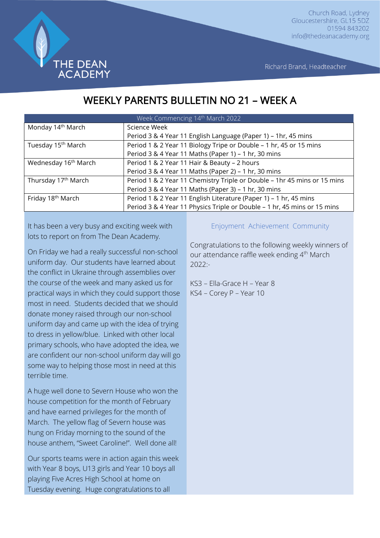

Richard Brand, Headteacher

# WEEKLY PARENTS BULLETIN NO 21 – WEEK A

| Week Commencing 14th March 2022  |                                                                          |
|----------------------------------|--------------------------------------------------------------------------|
| Monday 14 <sup>th</sup> March    | Science Week                                                             |
|                                  | Period 3 & 4 Year 11 English Language (Paper 1) - 1hr, 45 mins           |
| Tuesday 15 <sup>th</sup> March   | Period 1 & 2 Year 11 Biology Tripe or Double - 1 hr, 45 or 15 mins       |
|                                  | Period 3 & 4 Year 11 Maths (Paper 1) - 1 hr, 30 mins                     |
| Wednesday 16 <sup>th</sup> March | Period 1 & 2 Year 11 Hair & Beauty - 2 hours                             |
|                                  | Period 3 & 4 Year 11 Maths (Paper 2) - 1 hr, 30 mins                     |
| Thursday 17 <sup>th</sup> March  | Period 1 & 2 Year 11 Chemistry Triple or Double - 1hr 45 mins or 15 mins |
|                                  | Period 3 & 4 Year 11 Maths (Paper 3) - 1 hr, 30 mins                     |
| Friday 18 <sup>th</sup> March    | Period 1 & 2 Year 11 English Literature (Paper 1) - 1 hr, 45 mins        |
|                                  | Period 3 & 4 Year 11 Physics Triple or Double - 1 hr, 45 mins or 15 mins |

It has been a very busy and exciting week with lots to report on from The Dean Academy.

On Friday we had a really successful non-school uniform day. Our students have learned about the conflict in Ukraine through assemblies over the course of the week and many asked us for practical ways in which they could support those most in need. Students decided that we should donate money raised through our non-school uniform day and came up with the idea of trying to dress in yellow/blue. Linked with other local primary schools, who have adopted the idea, we are confident our non-school uniform day will go some way to helping those most in need at this terrible time.

A huge well done to Severn House who won the house competition for the month of February and have earned privileges for the month of March. The yellow flag of Severn house was hung on Friday morning to the sound of the house anthem, "Sweet Caroline!". Well done all!

Our sports teams were in action again this week with Year 8 boys, U13 girls and Year 10 boys all playing Five Acres High School at home on Tuesday evening. Huge congratulations to all

#### Enjoyment Achievement Community

Congratulations to the following weekly winners of our attendance raffle week ending 4<sup>th</sup> March  $2022 -$ 

KS3 – Ella-Grace H – Year 8 KS4 – Corey P – Year 10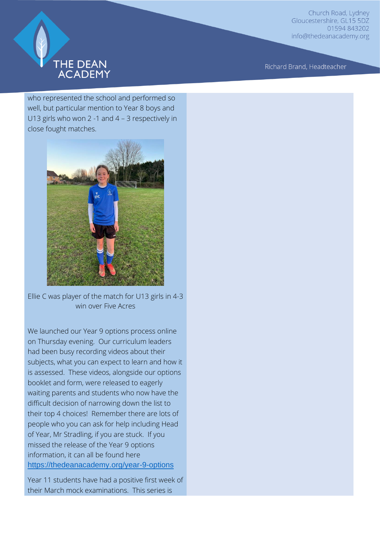

Richard Brand, Headteacher

who represented the school and performed so well, but particular mention to Year 8 boys and U13 girls who won 2 -1 and 4 – 3 respectively in close fought matches.



Ellie C was player of the match for U13 girls in 4-3 win over Five Acres

We launched our Year 9 options process online on Thursday evening. Our curriculum leaders had been busy recording videos about their subjects, what you can expect to learn and how it is assessed. These videos, alongside our options booklet and form, were released to eagerly waiting parents and students who now have the difficult decision of narrowing down the list to their top 4 choices! Remember there are lots of people who you can ask for help including Head of Year, Mr Stradling, if you are stuck. If you missed the release of the Year 9 options information, it can all be found here <https://thedeanacademy.org/year-9-options>

Year 11 students have had a positive first week of their March mock examinations. This series is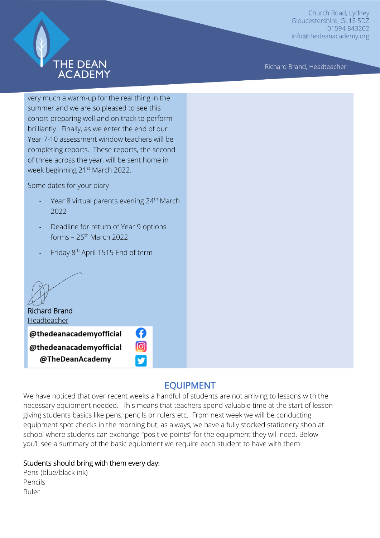

Richard Brand, Headteacher

very much a warm-up for the real thing in the summer and we are so pleased to see this cohort preparing well and on track to perform brilliantly. Finally, as we enter the end of our Year 7-10 assessment window teachers will be completing reports. These reports, the second of three across the year, will be sent home in week beginning 21<sup>st</sup> March 2022.

Some dates for your diary

- Year 8 virtual parents evening 24<sup>th</sup> March 2022
- Deadline for return of Year 9 options forms  $-25$ <sup>th</sup> March 2022
- Friday 8<sup>th</sup> April 1515 End of term

Richard Brand Headteacher @thedeanacademyofficial @thedeanacademyofficial @TheDeanAcademy

### EQUIPMENT

We have noticed that over recent weeks a handful of students are not arriving to lessons with the necessary equipment needed. This means that teachers spend valuable time at the start of lesson giving students basics like pens, pencils or rulers etc. From next week we will be conducting equipment spot checks in the morning but, as always, we have a fully stocked stationery shop at school where students can exchange "positive points" for the equipment they will need. Below you'll see a summary of the basic equipment we require each student to have with them:

A ල

#### Students should bring with them every day:

Pens (blue/black ink) Pencils Ruler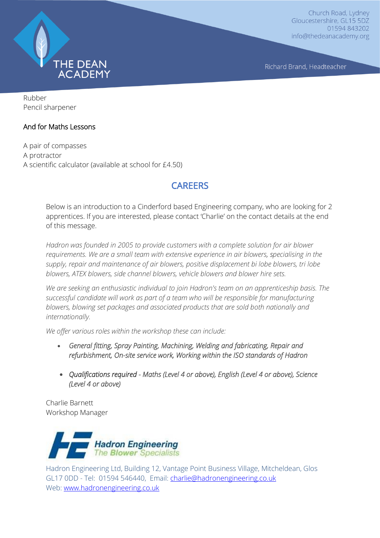

Richard Brand, Headteacher

Rubber Pencil sharpener

#### And for Maths Lessons

A pair of compasses A protractor A scientific calculator (available at school for £4.50)

### CAREERS

Below is an introduction to a Cinderford based Engineering company, who are looking for 2 apprentices. If you are interested, please contact 'Charlie' on the contact details at the end of this message.

*Hadron was founded in 2005 to provide customers with a complete solution for air blower requirements. We are a small team with extensive experience in air blowers, specialising in the supply, repair and maintenance of air blowers, positive displacement bi lobe blowers, tri lobe blowers, ATEX blowers, side channel blowers, vehicle blowers and blower hire sets.* 

*We are seeking an enthusiastic individual to join Hadron's team on an apprenticeship basis. The successful candidate will work as part of a team who will be responsible for manufacturing blowers, blowing set packages and associated products that are sold both nationally and internationally.*

*We offer various roles within the workshop these can include:*

- *General fitting, Spray Painting, Machining, Welding and fabricating, Repair and refurbishment, On-site service work, Working within the ISO standards of Hadron*
- *Qualifications required Maths (Level 4 or above), English (Level 4 or above), Science (Level 4 or above)*

Charlie Barnett Workshop Manager



Hadron Engineering Ltd, Building 12, Vantage Point Business Village, Mitcheldean, Glos GL17 0DD - Tel: 01594 546440, Email: [charlie@hadronengineering.co.uk](mailto:charlie@hadronengineering.co.uk) Web: [www.hadronengineering.co.uk](http://www.hadronengineering.co.uk/)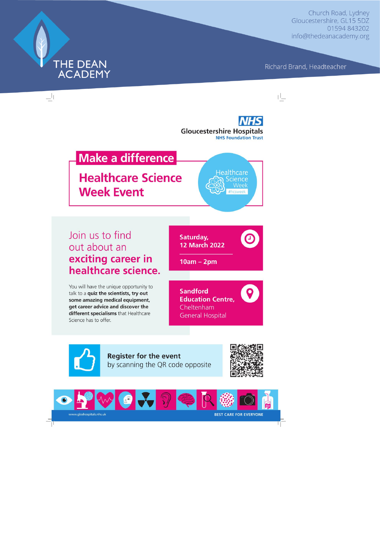Richard Brand, Headteacher



THE DEAN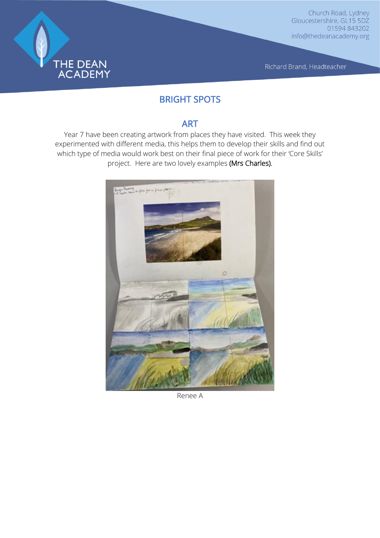

Richard Brand, Headteacher

## BRIGHT SPOTS

### ART

Year 7 have been creating artwork from places they have visited. This week they experimented with different media, this helps them to develop their skills and find out which type of media would work best on their final piece of work for their 'Core Skills' project. Here are two lovely examples (Mrs Charles).



Renee A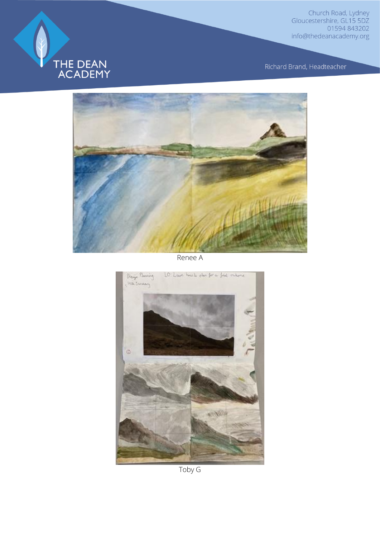

Richard Brand, Headteacher



Renee A



Toby G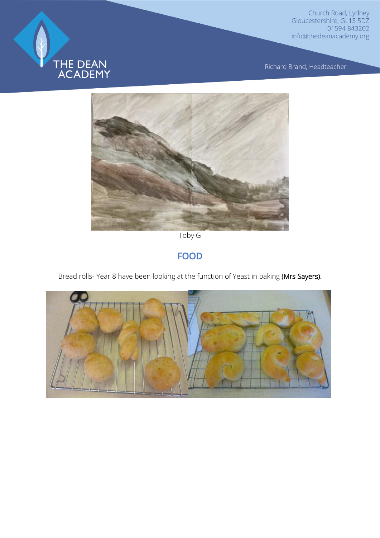

Richard Brand, Headteacher



Toby G

### FOOD

Bread rolls- Year 8 have been looking at the function of Yeast in baking (Mrs Sayers).

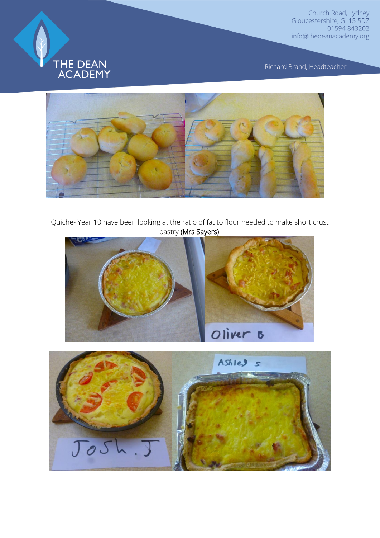

Richard Brand, Headteacher



Quiche- Year 10 have been looking at the ratio of fat to flour needed to make short crust pastry (Mrs Sayers).